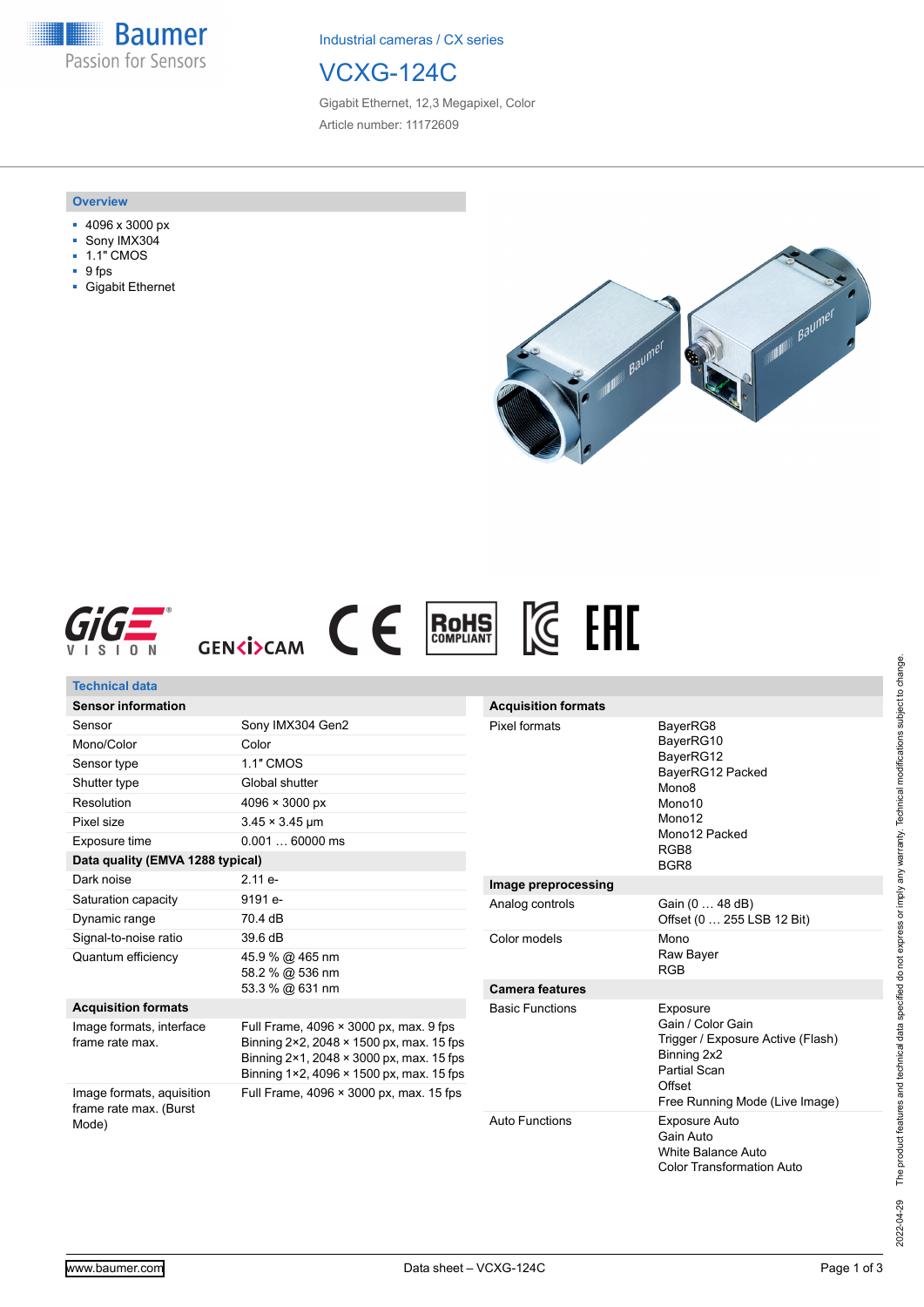**Baumer** Passion for Sensors

Industrial cameras / CX series

## VCXG-124C

Gigabit Ethernet, 12,3 Megapixel, Color Article number: 11172609

## **Overview**

- 4096 x 3000 px
- Sony IMX304
- 1.1" CMOS
- 9 fps
- Gigabit Ethernet







| <b>Technical data</b>                                        |                                                                                                                                                                                             |                            |                                                                                                                          |
|--------------------------------------------------------------|---------------------------------------------------------------------------------------------------------------------------------------------------------------------------------------------|----------------------------|--------------------------------------------------------------------------------------------------------------------------|
| <b>Sensor information</b>                                    |                                                                                                                                                                                             | <b>Acquisition formats</b> |                                                                                                                          |
| Sensor                                                       | Sony IMX304 Gen2                                                                                                                                                                            | Pixel formats              | BayerRG8<br>BayerRG10<br>BayerRG12<br>BayerRG12 Packed<br>Mono <sub>8</sub><br>Mono10<br>Mono12<br>Mono12 Packed<br>RGB8 |
| Mono/Color                                                   | Color                                                                                                                                                                                       |                            |                                                                                                                          |
| Sensor type                                                  | 1.1" CMOS                                                                                                                                                                                   |                            |                                                                                                                          |
| Shutter type                                                 | Global shutter                                                                                                                                                                              |                            |                                                                                                                          |
| Resolution                                                   | $4096 \times 3000 \text{ px}$                                                                                                                                                               |                            |                                                                                                                          |
| Pixel size                                                   | $3.45 \times 3.45 \,\text{µm}$                                                                                                                                                              |                            |                                                                                                                          |
| Exposure time                                                | $0.00160000$ ms                                                                                                                                                                             |                            |                                                                                                                          |
| Data quality (EMVA 1288 typical)                             |                                                                                                                                                                                             |                            | BGR <sub>8</sub>                                                                                                         |
| Dark noise                                                   | $2.11 e-$                                                                                                                                                                                   | Image preprocessing        |                                                                                                                          |
| Saturation capacity                                          | 9191 e-                                                                                                                                                                                     | Analog controls            | Gain (0  48 dB)<br>Offset (0  255 LSB 12 Bit)                                                                            |
| Dynamic range                                                | 70.4 dB                                                                                                                                                                                     |                            |                                                                                                                          |
| Signal-to-noise ratio                                        | 39.6 dB                                                                                                                                                                                     | Color models               | Mono                                                                                                                     |
| Quantum efficiency                                           | 45.9 % @ 465 nm<br>58.2 % @ 536 nm<br>53.3 % @ 631 nm                                                                                                                                       |                            | Raw Bayer<br><b>RGB</b>                                                                                                  |
|                                                              |                                                                                                                                                                                             | <b>Camera features</b>     |                                                                                                                          |
| <b>Acquisition formats</b>                                   |                                                                                                                                                                                             |                            | Exposure                                                                                                                 |
| Image formats, interface<br>frame rate max.                  | Full Frame, 4096 × 3000 px, max. 9 fps<br>Binning 2×2, 2048 × 1500 px, max, 15 fps<br>Binning $2 \times 1$ , 2048 $\times$ 3000 px, max. 15 fps<br>Binning 1×2, 4096 × 1500 px, max. 15 fps | <b>Basic Functions</b>     | Gain / Color Gain<br>Trigger / Exposure Active (Flash)<br>Binning 2x2<br><b>Partial Scan</b>                             |
| Image formats, aquisition<br>frame rate max. (Burst<br>Mode) | Full Frame, 4096 × 3000 px, max. 15 fps                                                                                                                                                     |                            | Offset<br>Free Running Mode (Live Image)                                                                                 |
|                                                              |                                                                                                                                                                                             | <b>Auto Functions</b>      | <b>Exposure Auto</b><br>Gain Auto<br><b>White Balance Auto</b><br><b>Color Transformation Auto</b>                       |

2022-04-29 The product features and technical data specified do not express or imply any warranty. Technical modifications subject to change. 2022-04-29 The product features and technical data specified do not express or imply any warranty. Technical modifications subject to change.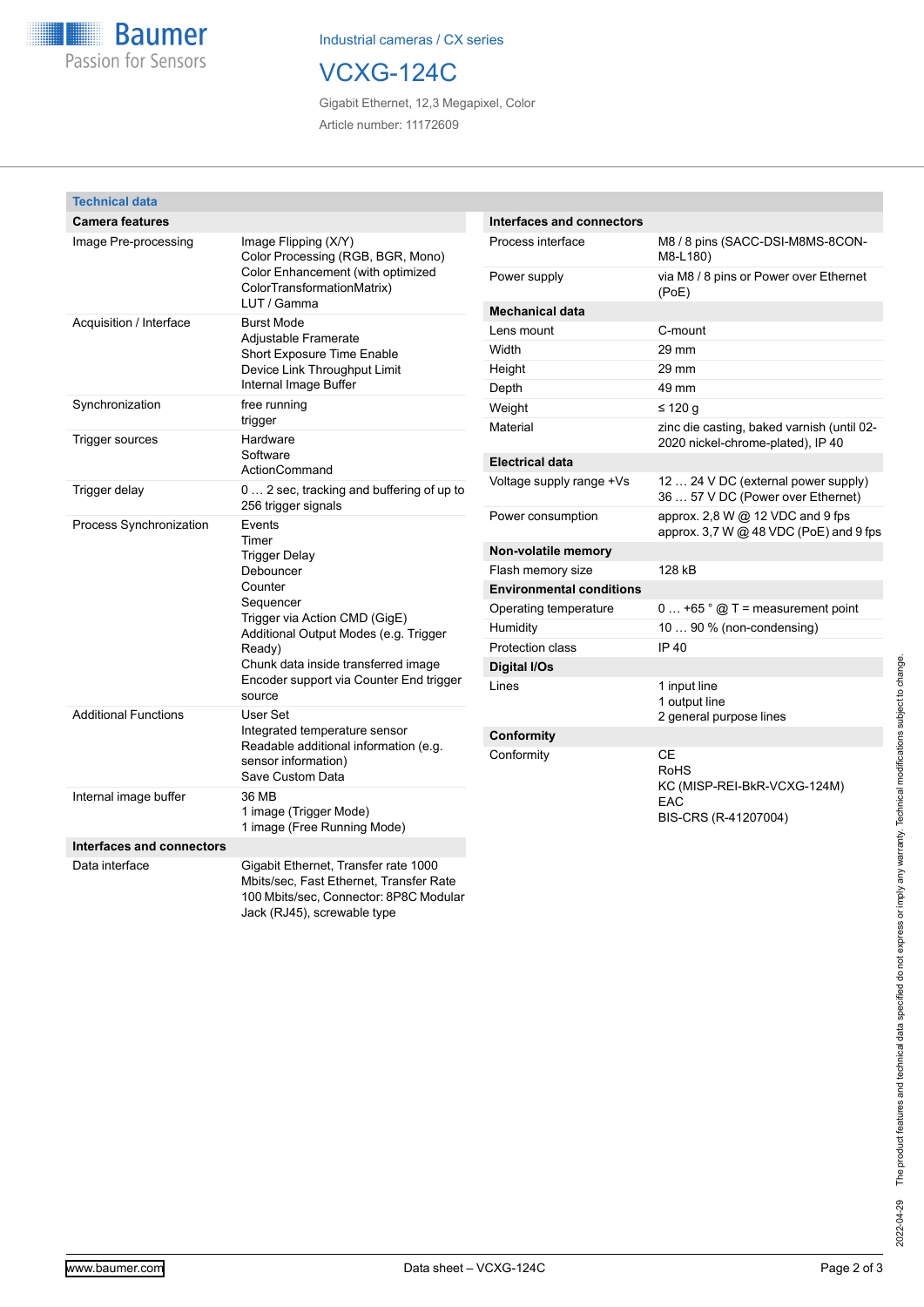

Industrial cameras / CX series

## VCXG-124C

Gigabit Ethernet, 12,3 Megapixel, Color Article number: 11172609

| <b>Technical data</b>       |                                                                                                                                                                                                                                                              |                                  |                                                                                 |
|-----------------------------|--------------------------------------------------------------------------------------------------------------------------------------------------------------------------------------------------------------------------------------------------------------|----------------------------------|---------------------------------------------------------------------------------|
| <b>Camera features</b>      |                                                                                                                                                                                                                                                              | <b>Interfaces and connectors</b> |                                                                                 |
| Image Pre-processing        | Image Flipping (X/Y)<br>Color Processing (RGB, BGR, Mono)<br>Color Enhancement (with optimized<br>ColorTransformationMatrix)                                                                                                                                 | Process interface                | M8 / 8 pins (SACC-DSI-M8MS-8CON-<br>M8-L180)                                    |
|                             |                                                                                                                                                                                                                                                              | Power supply                     | via M8 / 8 pins or Power over Ethernet<br>(PoE)                                 |
| Acquisition / Interface     | LUT / Gamma<br><b>Burst Mode</b><br>Adjustable Framerate<br>Short Exposure Time Enable<br>Device Link Throughput Limit<br>Internal Image Buffer                                                                                                              | <b>Mechanical data</b>           |                                                                                 |
|                             |                                                                                                                                                                                                                                                              | Lens mount                       | C-mount                                                                         |
|                             |                                                                                                                                                                                                                                                              | Width                            | 29 mm                                                                           |
|                             |                                                                                                                                                                                                                                                              | Height                           | 29 mm                                                                           |
|                             |                                                                                                                                                                                                                                                              | Depth                            | 49 mm                                                                           |
| Synchronization             | free running                                                                                                                                                                                                                                                 | Weight                           | $\leq 120$ g                                                                    |
| Trigger sources             | trigger<br>Hardware<br>Software<br>ActionCommand                                                                                                                                                                                                             | Material                         | zinc die casting, baked varnish (until 02-<br>2020 nickel-chrome-plated), IP 40 |
|                             |                                                                                                                                                                                                                                                              | <b>Electrical data</b>           |                                                                                 |
| Trigger delay               | 0  2 sec, tracking and buffering of up to<br>256 trigger signals                                                                                                                                                                                             | Voltage supply range +Vs         | 12  24 V DC (external power supply)<br>36  57 V DC (Power over Ethernet)        |
| Process Synchronization     | Events<br>Timer<br><b>Trigger Delay</b><br>Debouncer<br>Counter<br>Sequencer<br>Trigger via Action CMD (GigE)<br>Additional Output Modes (e.g. Trigger<br>Ready)<br>Chunk data inside transferred image<br>Encoder support via Counter End trigger<br>source | Power consumption                | approx. 2,8 W @ 12 VDC and 9 fps<br>approx. 3,7 W @ 48 VDC (PoE) and 9 fps      |
|                             |                                                                                                                                                                                                                                                              | Non-volatile memory              |                                                                                 |
|                             |                                                                                                                                                                                                                                                              | Flash memory size                | 128 kB                                                                          |
|                             |                                                                                                                                                                                                                                                              | <b>Environmental conditions</b>  |                                                                                 |
|                             |                                                                                                                                                                                                                                                              | Operating temperature            | $0+65$ $^{\circ}$ $\textcircled{1}$ T = measurement point                       |
|                             |                                                                                                                                                                                                                                                              | Humidity                         | 10  90 % (non-condensing)                                                       |
|                             |                                                                                                                                                                                                                                                              | Protection class                 | IP 40                                                                           |
|                             |                                                                                                                                                                                                                                                              | Digital I/Os                     |                                                                                 |
|                             |                                                                                                                                                                                                                                                              | Lines                            | 1 input line                                                                    |
| <b>Additional Functions</b> | User Set                                                                                                                                                                                                                                                     |                                  | 1 output line                                                                   |
|                             | Integrated temperature sensor<br>Readable additional information (e.g.<br>sensor information)                                                                                                                                                                | Conformity                       | 2 general purpose lines                                                         |
|                             |                                                                                                                                                                                                                                                              | Conformity                       | $\mathsf{CE}$                                                                   |
|                             |                                                                                                                                                                                                                                                              |                                  | <b>RoHS</b>                                                                     |
|                             | Save Custom Data<br>36 MB                                                                                                                                                                                                                                    |                                  | KC (MISP-REI-BkR-VCXG-124M)                                                     |
| Internal image buffer       | 1 image (Trigger Mode)<br>1 image (Free Running Mode)                                                                                                                                                                                                        |                                  | EAC<br>BIS-CRS (R-41207004)                                                     |
| Interfaces and connectors   |                                                                                                                                                                                                                                                              |                                  |                                                                                 |
| Data interface              | Gigabit Ethernet, Transfer rate 1000<br>Mbits/sec, Fast Ethernet, Transfer Rate<br>100 Mbits/sec, Connector: 8P8C Modular<br>Jack (RJ45), screwable type                                                                                                     |                                  |                                                                                 |